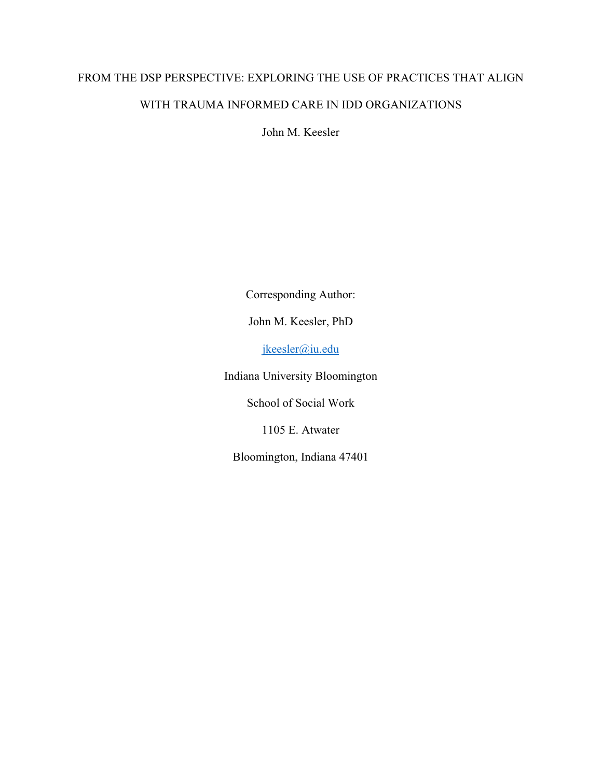# FROM THE DSP PERSPECTIVE: EXPLORING THE USE OF PRACTICES THAT ALIGN WITH TRAUMA INFORMED CARE IN IDD ORGANIZATIONS

John M. Keesler

Corresponding Author:

John M. Keesler, PhD

jkeesler@iu.edu

Indiana University Bloomington

School of Social Work

1105 E. Atwater

Bloomington, Indiana 47401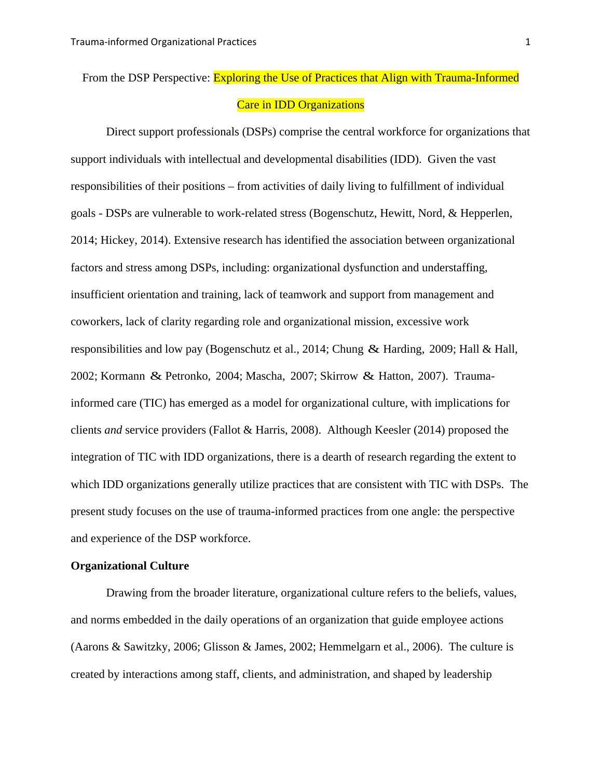## From the DSP Perspective: **Exploring the Use of Practices that Align with Trauma-Informed** Care in IDD Organizations

Direct support professionals (DSPs) comprise the central workforce for organizations that support individuals with intellectual and developmental disabilities (IDD). Given the vast responsibilities of their positions – from activities of daily living to fulfillment of individual goals - DSPs are vulnerable to work-related stress (Bogenschutz, Hewitt, Nord, & Hepperlen, 2014; Hickey, 2014). Extensive research has identified the association between organizational factors and stress among DSPs, including: organizational dysfunction and understaffing, insufficient orientation and training, lack of teamwork and support from management and coworkers, lack of clarity regarding role and organizational mission, excessive work responsibilities and low pay (Bogenschutz et al., 2014; Chung & Harding, 2009; Hall & Hall, 2002; Kormann & Petronko, 2004; Mascha, 2007; Skirrow & Hatton, 2007). Traumainformed care (TIC) has emerged as a model for organizational culture, with implications for clients *and* service providers (Fallot & Harris, 2008). Although Keesler (2014) proposed the integration of TIC with IDD organizations, there is a dearth of research regarding the extent to which IDD organizations generally utilize practices that are consistent with TIC with DSPs. The present study focuses on the use of trauma-informed practices from one angle: the perspective and experience of the DSP workforce.

#### **Organizational Culture**

Drawing from the broader literature, organizational culture refers to the beliefs, values, and norms embedded in the daily operations of an organization that guide employee actions (Aarons & Sawitzky, 2006; Glisson & James, 2002; Hemmelgarn et al., 2006). The culture is created by interactions among staff, clients, and administration, and shaped by leadership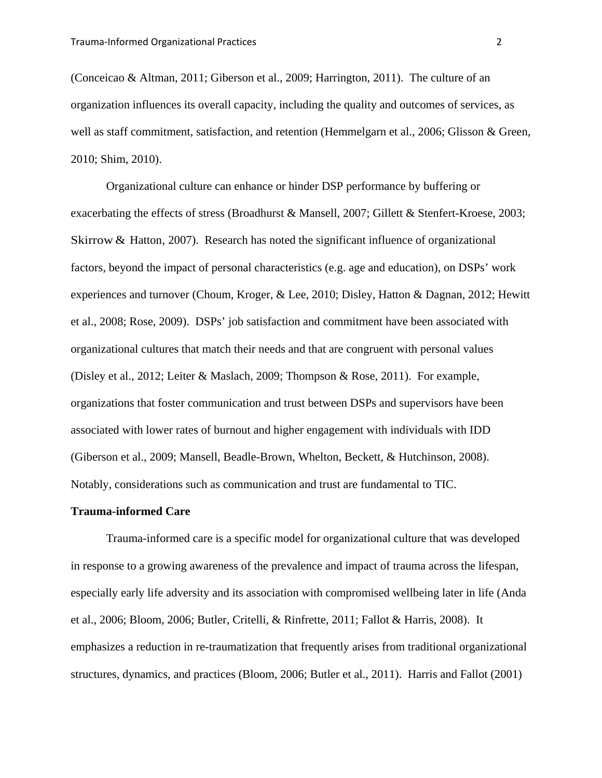(Conceicao & Altman, 2011; Giberson et al., 2009; Harrington, 2011). The culture of an organization influences its overall capacity, including the quality and outcomes of services, as well as staff commitment, satisfaction, and retention (Hemmelgarn et al., 2006; Glisson & Green, 2010; Shim, 2010).

Organizational culture can enhance or hinder DSP performance by buffering or exacerbating the effects of stress (Broadhurst & Mansell, 2007; Gillett & Stenfert-Kroese, 2003; Skirrow & Hatton, 2007). Research has noted the significant influence of organizational factors, beyond the impact of personal characteristics (e.g. age and education), on DSPs' work experiences and turnover (Choum, Kroger, & Lee, 2010; Disley, Hatton & Dagnan, 2012; Hewitt et al., 2008; Rose, 2009). DSPs' job satisfaction and commitment have been associated with organizational cultures that match their needs and that are congruent with personal values (Disley et al., 2012; Leiter & Maslach, 2009; Thompson & Rose, 2011). For example, organizations that foster communication and trust between DSPs and supervisors have been associated with lower rates of burnout and higher engagement with individuals with IDD (Giberson et al., 2009; Mansell, Beadle-Brown, Whelton, Beckett, & Hutchinson, 2008). Notably, considerations such as communication and trust are fundamental to TIC.

#### **Trauma-informed Care**

Trauma-informed care is a specific model for organizational culture that was developed in response to a growing awareness of the prevalence and impact of trauma across the lifespan, especially early life adversity and its association with compromised wellbeing later in life (Anda et al., 2006; Bloom, 2006; Butler, Critelli, & Rinfrette, 2011; Fallot & Harris, 2008). It emphasizes a reduction in re-traumatization that frequently arises from traditional organizational structures, dynamics, and practices (Bloom, 2006; Butler et al., 2011). Harris and Fallot (2001)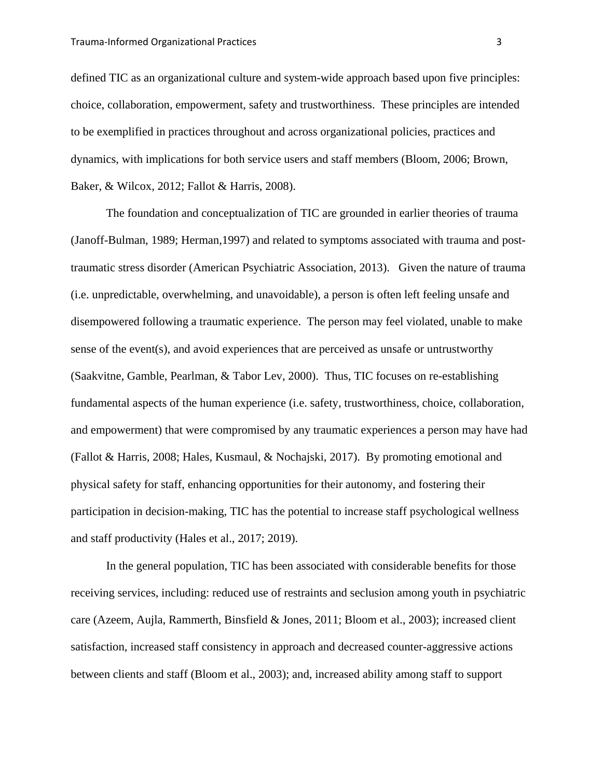defined TIC as an organizational culture and system-wide approach based upon five principles: choice, collaboration, empowerment, safety and trustworthiness. These principles are intended to be exemplified in practices throughout and across organizational policies, practices and dynamics, with implications for both service users and staff members (Bloom, 2006; Brown, Baker, & Wilcox, 2012; Fallot & Harris, 2008).

The foundation and conceptualization of TIC are grounded in earlier theories of trauma (Janoff-Bulman, 1989; Herman,1997) and related to symptoms associated with trauma and posttraumatic stress disorder (American Psychiatric Association, 2013). Given the nature of trauma (i.e. unpredictable, overwhelming, and unavoidable), a person is often left feeling unsafe and disempowered following a traumatic experience. The person may feel violated, unable to make sense of the event(s), and avoid experiences that are perceived as unsafe or untrustworthy (Saakvitne, Gamble, Pearlman, & Tabor Lev, 2000). Thus, TIC focuses on re-establishing fundamental aspects of the human experience (i.e. safety, trustworthiness, choice, collaboration, and empowerment) that were compromised by any traumatic experiences a person may have had (Fallot & Harris, 2008; Hales, Kusmaul, & Nochajski, 2017). By promoting emotional and physical safety for staff, enhancing opportunities for their autonomy, and fostering their participation in decision-making, TIC has the potential to increase staff psychological wellness and staff productivity (Hales et al., 2017; 2019).

In the general population, TIC has been associated with considerable benefits for those receiving services, including: reduced use of restraints and seclusion among youth in psychiatric care (Azeem, Aujla, Rammerth, Binsfield & Jones, 2011; Bloom et al., 2003); increased client satisfaction, increased staff consistency in approach and decreased counter-aggressive actions between clients and staff (Bloom et al., 2003); and, increased ability among staff to support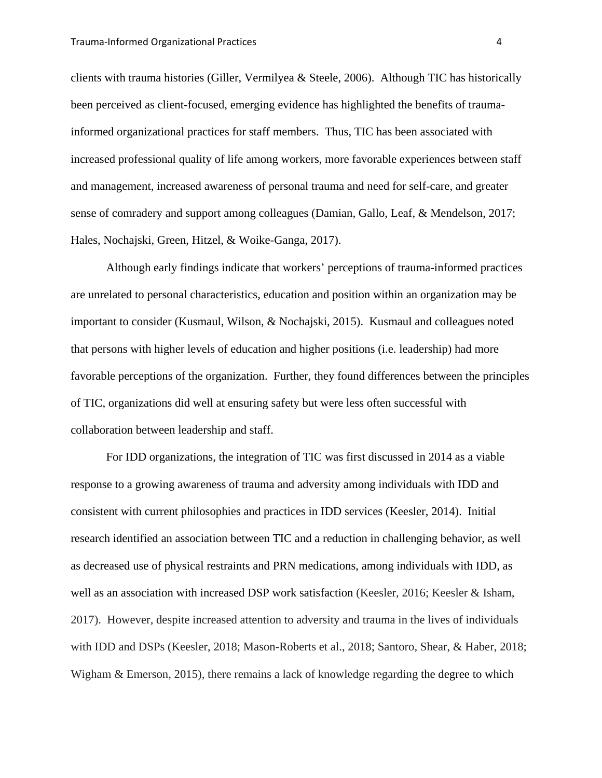clients with trauma histories (Giller, Vermilyea & Steele, 2006). Although TIC has historically been perceived as client-focused, emerging evidence has highlighted the benefits of traumainformed organizational practices for staff members. Thus, TIC has been associated with increased professional quality of life among workers, more favorable experiences between staff and management, increased awareness of personal trauma and need for self-care, and greater sense of comradery and support among colleagues (Damian, Gallo, Leaf, & Mendelson, 2017; Hales, Nochajski, Green, Hitzel, & Woike-Ganga, 2017).

Although early findings indicate that workers' perceptions of trauma-informed practices are unrelated to personal characteristics, education and position within an organization may be important to consider (Kusmaul, Wilson, & Nochajski, 2015). Kusmaul and colleagues noted that persons with higher levels of education and higher positions (i.e. leadership) had more favorable perceptions of the organization. Further, they found differences between the principles of TIC, organizations did well at ensuring safety but were less often successful with collaboration between leadership and staff.

For IDD organizations, the integration of TIC was first discussed in 2014 as a viable response to a growing awareness of trauma and adversity among individuals with IDD and consistent with current philosophies and practices in IDD services (Keesler, 2014). Initial research identified an association between TIC and a reduction in challenging behavior, as well as decreased use of physical restraints and PRN medications, among individuals with IDD, as well as an association with increased DSP work satisfaction (Keesler, 2016; Keesler & Isham, 2017). However, despite increased attention to adversity and trauma in the lives of individuals with IDD and DSPs (Keesler, 2018; Mason-Roberts et al., 2018; Santoro, Shear, & Haber, 2018; Wigham & Emerson, 2015), there remains a lack of knowledge regarding the degree to which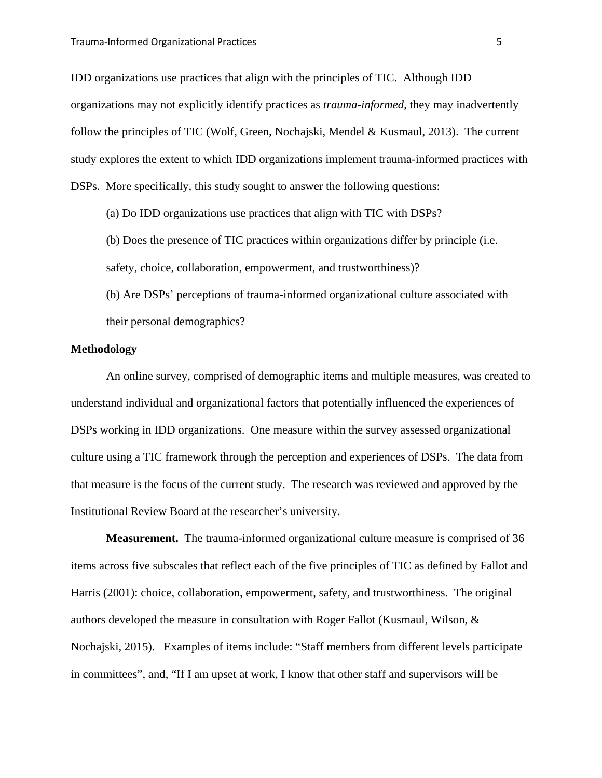IDD organizations use practices that align with the principles of TIC. Although IDD organizations may not explicitly identify practices as *trauma-informed*, they may inadvertently follow the principles of TIC (Wolf, Green, Nochajski, Mendel & Kusmaul, 2013). The current study explores the extent to which IDD organizations implement trauma-informed practices with DSPs. More specifically, this study sought to answer the following questions:

(a) Do IDD organizations use practices that align with TIC with DSPs?

(b) Does the presence of TIC practices within organizations differ by principle (i.e. safety, choice, collaboration, empowerment, and trustworthiness)?

(b) Are DSPs' perceptions of trauma-informed organizational culture associated with their personal demographics?

#### **Methodology**

An online survey, comprised of demographic items and multiple measures, was created to understand individual and organizational factors that potentially influenced the experiences of DSPs working in IDD organizations. One measure within the survey assessed organizational culture using a TIC framework through the perception and experiences of DSPs. The data from that measure is the focus of the current study. The research was reviewed and approved by the Institutional Review Board at the researcher's university.

**Measurement.** The trauma-informed organizational culture measure is comprised of 36 items across five subscales that reflect each of the five principles of TIC as defined by Fallot and Harris (2001): choice, collaboration, empowerment, safety, and trustworthiness. The original authors developed the measure in consultation with Roger Fallot (Kusmaul, Wilson, & Nochajski, 2015). Examples of items include: "Staff members from different levels participate in committees", and, "If I am upset at work, I know that other staff and supervisors will be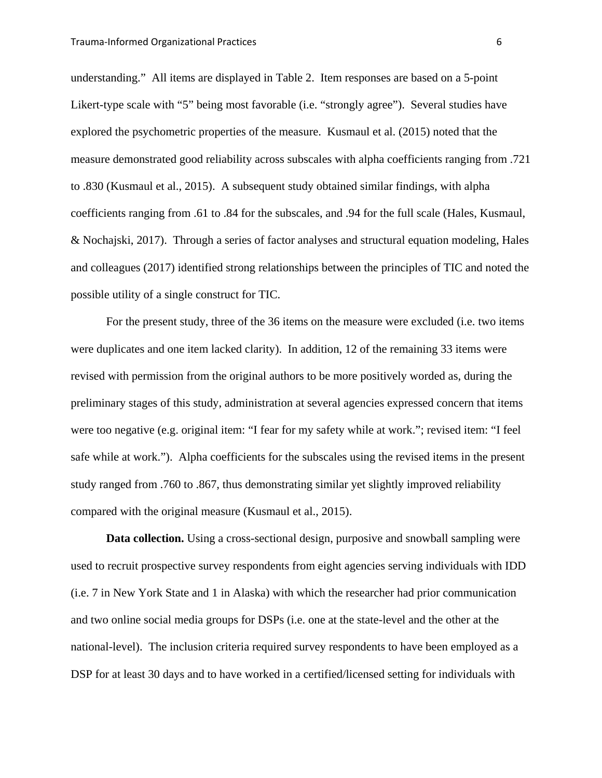understanding." All items are displayed in Table 2. Item responses are based on a 5-point Likert-type scale with "5" being most favorable (i.e. "strongly agree"). Several studies have explored the psychometric properties of the measure. Kusmaul et al. (2015) noted that the measure demonstrated good reliability across subscales with alpha coefficients ranging from .721 to .830 (Kusmaul et al., 2015). A subsequent study obtained similar findings, with alpha coefficients ranging from .61 to .84 for the subscales, and .94 for the full scale (Hales, Kusmaul, & Nochajski, 2017). Through a series of factor analyses and structural equation modeling, Hales and colleagues (2017) identified strong relationships between the principles of TIC and noted the possible utility of a single construct for TIC.

For the present study, three of the 36 items on the measure were excluded (i.e. two items were duplicates and one item lacked clarity). In addition, 12 of the remaining 33 items were revised with permission from the original authors to be more positively worded as, during the preliminary stages of this study, administration at several agencies expressed concern that items were too negative (e.g. original item: "I fear for my safety while at work."; revised item: "I feel safe while at work."). Alpha coefficients for the subscales using the revised items in the present study ranged from .760 to .867, thus demonstrating similar yet slightly improved reliability compared with the original measure (Kusmaul et al., 2015).

**Data collection.** Using a cross-sectional design, purposive and snowball sampling were used to recruit prospective survey respondents from eight agencies serving individuals with IDD (i.e. 7 in New York State and 1 in Alaska) with which the researcher had prior communication and two online social media groups for DSPs (i.e. one at the state-level and the other at the national-level). The inclusion criteria required survey respondents to have been employed as a DSP for at least 30 days and to have worked in a certified/licensed setting for individuals with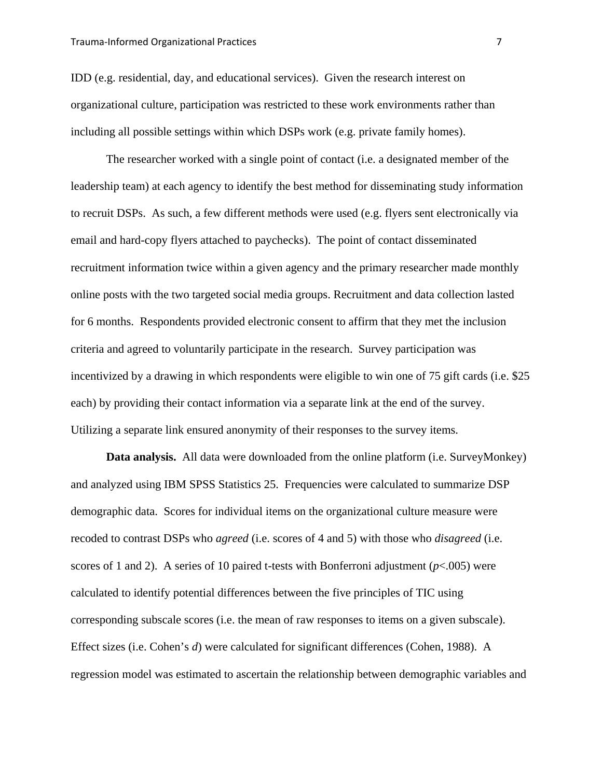IDD (e.g. residential, day, and educational services). Given the research interest on organizational culture, participation was restricted to these work environments rather than including all possible settings within which DSPs work (e.g. private family homes).

The researcher worked with a single point of contact (i.e. a designated member of the leadership team) at each agency to identify the best method for disseminating study information to recruit DSPs. As such, a few different methods were used (e.g. flyers sent electronically via email and hard-copy flyers attached to paychecks). The point of contact disseminated recruitment information twice within a given agency and the primary researcher made monthly online posts with the two targeted social media groups. Recruitment and data collection lasted for 6 months. Respondents provided electronic consent to affirm that they met the inclusion criteria and agreed to voluntarily participate in the research. Survey participation was incentivized by a drawing in which respondents were eligible to win one of 75 gift cards (i.e. \$25 each) by providing their contact information via a separate link at the end of the survey. Utilizing a separate link ensured anonymity of their responses to the survey items.

**Data analysis.** All data were downloaded from the online platform (i.e. SurveyMonkey) and analyzed using IBM SPSS Statistics 25. Frequencies were calculated to summarize DSP demographic data. Scores for individual items on the organizational culture measure were recoded to contrast DSPs who *agreed* (i.e. scores of 4 and 5) with those who *disagreed* (i.e. scores of 1 and 2). A series of 10 paired t-tests with Bonferroni adjustment ( $p$ <.005) were calculated to identify potential differences between the five principles of TIC using corresponding subscale scores (i.e. the mean of raw responses to items on a given subscale). Effect sizes (i.e. Cohen's *d*) were calculated for significant differences (Cohen, 1988). A regression model was estimated to ascertain the relationship between demographic variables and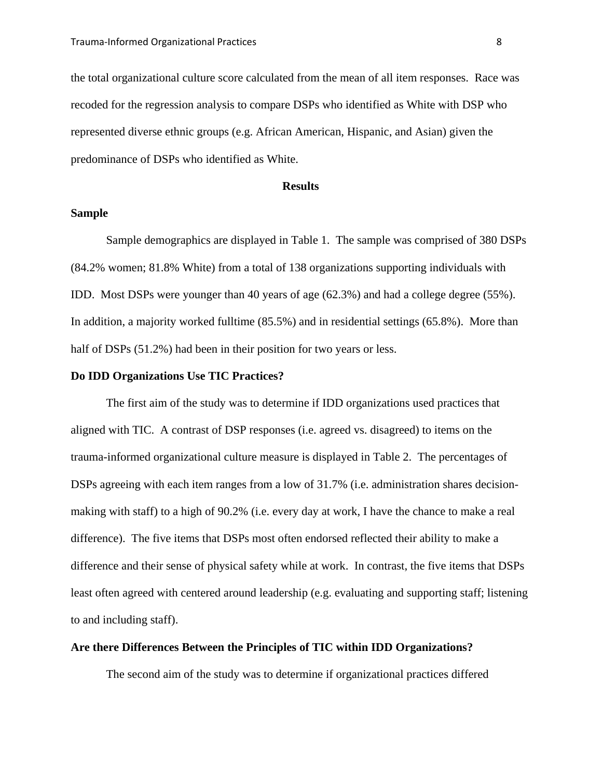the total organizational culture score calculated from the mean of all item responses. Race was recoded for the regression analysis to compare DSPs who identified as White with DSP who represented diverse ethnic groups (e.g. African American, Hispanic, and Asian) given the predominance of DSPs who identified as White.

#### **Results**

#### **Sample**

Sample demographics are displayed in Table 1. The sample was comprised of 380 DSPs (84.2% women; 81.8% White) from a total of 138 organizations supporting individuals with IDD. Most DSPs were younger than 40 years of age (62.3%) and had a college degree (55%). In addition, a majority worked fulltime (85.5%) and in residential settings (65.8%). More than half of DSPs (51.2%) had been in their position for two years or less.

#### **Do IDD Organizations Use TIC Practices?**

The first aim of the study was to determine if IDD organizations used practices that aligned with TIC. A contrast of DSP responses (i.e. agreed vs. disagreed) to items on the trauma-informed organizational culture measure is displayed in Table 2. The percentages of DSPs agreeing with each item ranges from a low of 31.7% (i.e. administration shares decisionmaking with staff) to a high of 90.2% (i.e. every day at work, I have the chance to make a real difference). The five items that DSPs most often endorsed reflected their ability to make a difference and their sense of physical safety while at work. In contrast, the five items that DSPs least often agreed with centered around leadership (e.g. evaluating and supporting staff; listening to and including staff).

#### **Are there Differences Between the Principles of TIC within IDD Organizations?**

The second aim of the study was to determine if organizational practices differed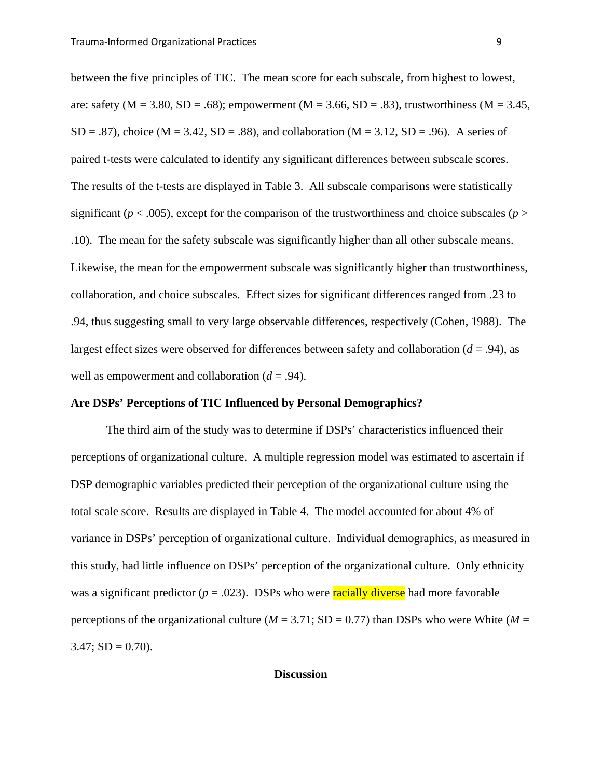between the five principles of TIC. The mean score for each subscale, from highest to lowest, are: safety ( $M = 3.80$ ,  $SD = .68$ ); empowerment ( $M = 3.66$ ,  $SD = .83$ ), trustworthiness ( $M = 3.45$ ,  $SD = .87$ , choice (M = 3.42, SD = .88), and collaboration (M = 3.12, SD = .96). A series of paired t-tests were calculated to identify any significant differences between subscale scores. The results of the t-tests are displayed in Table 3. All subscale comparisons were statistically significant ( $p < .005$ ), except for the comparison of the trustworthiness and choice subscales ( $p >$ .10). The mean for the safety subscale was significantly higher than all other subscale means. Likewise, the mean for the empowerment subscale was significantly higher than trustworthiness, collaboration, and choice subscales. Effect sizes for significant differences ranged from .23 to .94, thus suggesting small to very large observable differences, respectively (Cohen, 1988). The largest effect sizes were observed for differences between safety and collaboration (*d* = .94), as well as empowerment and collaboration  $(d = .94)$ .

#### **Are DSPs' Perceptions of TIC Influenced by Personal Demographics?**

The third aim of the study was to determine if DSPs' characteristics influenced their perceptions of organizational culture. A multiple regression model was estimated to ascertain if DSP demographic variables predicted their perception of the organizational culture using the total scale score. Results are displayed in Table 4. The model accounted for about 4% of variance in DSPs' perception of organizational culture. Individual demographics, as measured in this study, had little influence on DSPs' perception of the organizational culture. Only ethnicity was a significant predictor  $(p = .023)$ . DSPs who were **racially diverse** had more favorable perceptions of the organizational culture ( $M = 3.71$ ; SD = 0.77) than DSPs who were White ( $M =$  $3.47$ ; SD = 0.70).

#### **Discussion**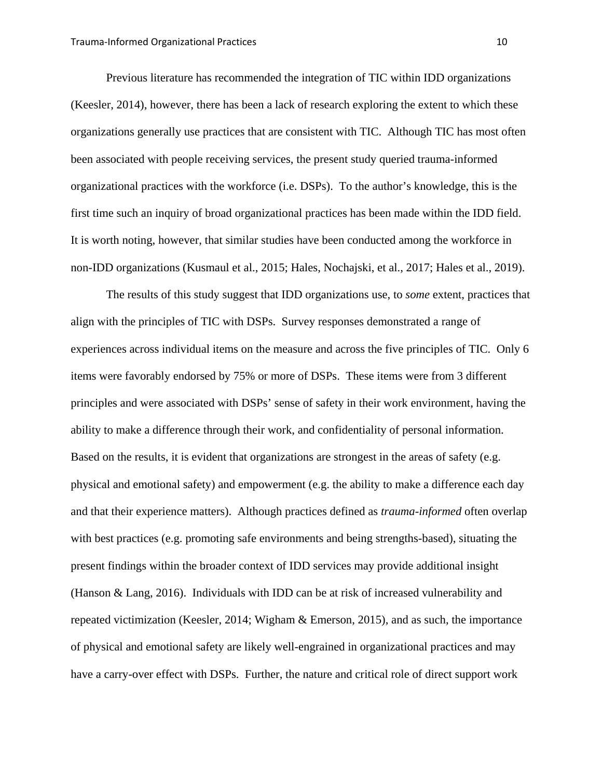Previous literature has recommended the integration of TIC within IDD organizations (Keesler, 2014), however, there has been a lack of research exploring the extent to which these organizations generally use practices that are consistent with TIC. Although TIC has most often been associated with people receiving services, the present study queried trauma-informed organizational practices with the workforce (i.e. DSPs). To the author's knowledge, this is the first time such an inquiry of broad organizational practices has been made within the IDD field. It is worth noting, however, that similar studies have been conducted among the workforce in non-IDD organizations (Kusmaul et al., 2015; Hales, Nochajski, et al., 2017; Hales et al., 2019).

 The results of this study suggest that IDD organizations use, to *some* extent, practices that align with the principles of TIC with DSPs. Survey responses demonstrated a range of experiences across individual items on the measure and across the five principles of TIC. Only 6 items were favorably endorsed by 75% or more of DSPs. These items were from 3 different principles and were associated with DSPs' sense of safety in their work environment, having the ability to make a difference through their work, and confidentiality of personal information. Based on the results, it is evident that organizations are strongest in the areas of safety (e.g. physical and emotional safety) and empowerment (e.g. the ability to make a difference each day and that their experience matters). Although practices defined as *trauma-informed* often overlap with best practices (e.g. promoting safe environments and being strengths-based), situating the present findings within the broader context of IDD services may provide additional insight (Hanson & Lang, 2016). Individuals with IDD can be at risk of increased vulnerability and repeated victimization (Keesler, 2014; Wigham & Emerson, 2015), and as such, the importance of physical and emotional safety are likely well-engrained in organizational practices and may have a carry-over effect with DSPs. Further, the nature and critical role of direct support work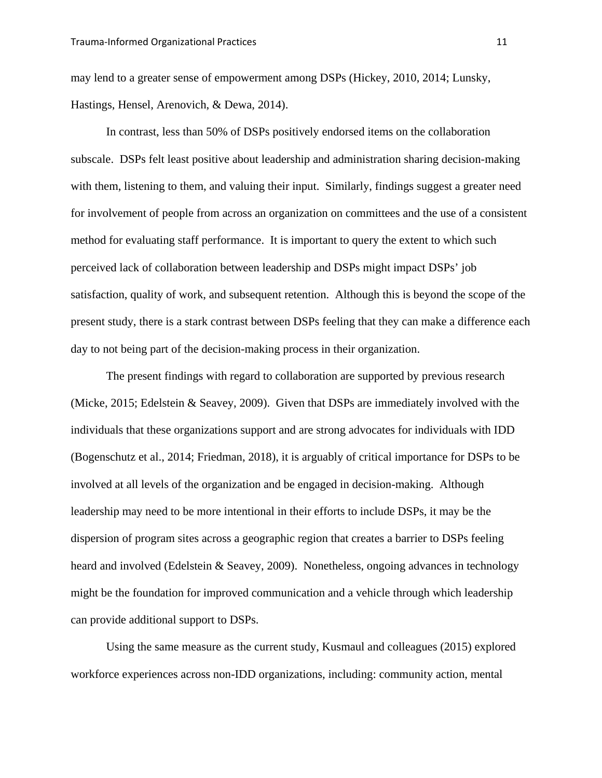may lend to a greater sense of empowerment among DSPs (Hickey, 2010, 2014; Lunsky, Hastings, Hensel, Arenovich, & Dewa, 2014).

In contrast, less than 50% of DSPs positively endorsed items on the collaboration subscale. DSPs felt least positive about leadership and administration sharing decision-making with them, listening to them, and valuing their input. Similarly, findings suggest a greater need for involvement of people from across an organization on committees and the use of a consistent method for evaluating staff performance. It is important to query the extent to which such perceived lack of collaboration between leadership and DSPs might impact DSPs' job satisfaction, quality of work, and subsequent retention. Although this is beyond the scope of the present study, there is a stark contrast between DSPs feeling that they can make a difference each day to not being part of the decision-making process in their organization.

The present findings with regard to collaboration are supported by previous research (Micke, 2015; Edelstein & Seavey, 2009). Given that DSPs are immediately involved with the individuals that these organizations support and are strong advocates for individuals with IDD (Bogenschutz et al., 2014; Friedman, 2018), it is arguably of critical importance for DSPs to be involved at all levels of the organization and be engaged in decision-making. Although leadership may need to be more intentional in their efforts to include DSPs, it may be the dispersion of program sites across a geographic region that creates a barrier to DSPs feeling heard and involved (Edelstein & Seavey, 2009). Nonetheless, ongoing advances in technology might be the foundation for improved communication and a vehicle through which leadership can provide additional support to DSPs.

Using the same measure as the current study, Kusmaul and colleagues (2015) explored workforce experiences across non-IDD organizations, including: community action, mental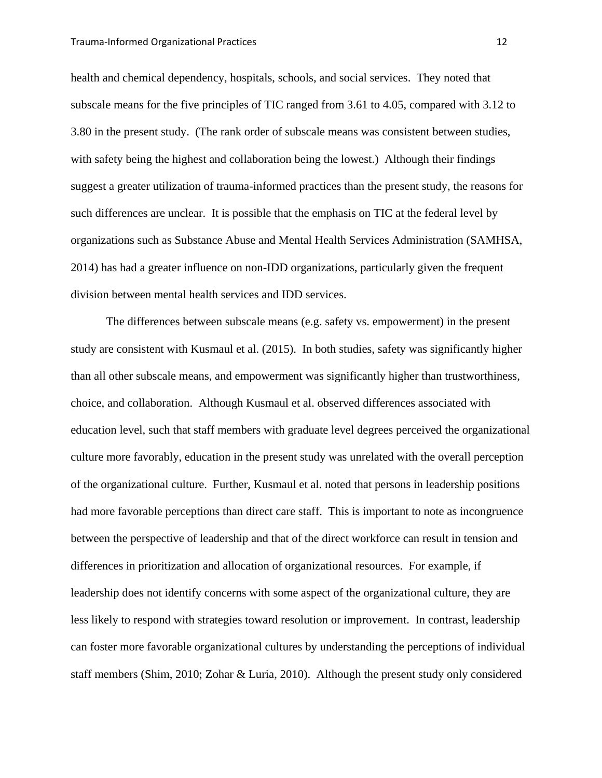health and chemical dependency, hospitals, schools, and social services. They noted that subscale means for the five principles of TIC ranged from 3.61 to 4.05, compared with 3.12 to 3.80 in the present study. (The rank order of subscale means was consistent between studies, with safety being the highest and collaboration being the lowest.) Although their findings suggest a greater utilization of trauma-informed practices than the present study, the reasons for such differences are unclear. It is possible that the emphasis on TIC at the federal level by organizations such as Substance Abuse and Mental Health Services Administration (SAMHSA, 2014) has had a greater influence on non-IDD organizations, particularly given the frequent division between mental health services and IDD services.

The differences between subscale means (e.g. safety vs. empowerment) in the present study are consistent with Kusmaul et al. (2015). In both studies, safety was significantly higher than all other subscale means, and empowerment was significantly higher than trustworthiness, choice, and collaboration. Although Kusmaul et al. observed differences associated with education level, such that staff members with graduate level degrees perceived the organizational culture more favorably, education in the present study was unrelated with the overall perception of the organizational culture. Further, Kusmaul et al. noted that persons in leadership positions had more favorable perceptions than direct care staff. This is important to note as incongruence between the perspective of leadership and that of the direct workforce can result in tension and differences in prioritization and allocation of organizational resources. For example, if leadership does not identify concerns with some aspect of the organizational culture, they are less likely to respond with strategies toward resolution or improvement. In contrast, leadership can foster more favorable organizational cultures by understanding the perceptions of individual staff members (Shim, 2010; Zohar & Luria, 2010). Although the present study only considered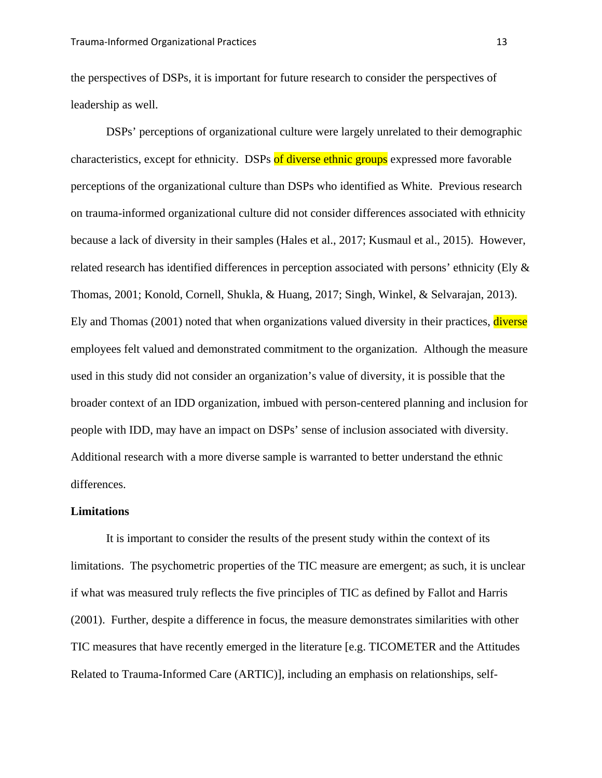the perspectives of DSPs, it is important for future research to consider the perspectives of leadership as well.

DSPs' perceptions of organizational culture were largely unrelated to their demographic characteristics, except for ethnicity. DSPs of diverse ethnic groups expressed more favorable perceptions of the organizational culture than DSPs who identified as White. Previous research on trauma-informed organizational culture did not consider differences associated with ethnicity because a lack of diversity in their samples (Hales et al., 2017; Kusmaul et al., 2015). However, related research has identified differences in perception associated with persons' ethnicity (Ely & Thomas, 2001; Konold, Cornell, Shukla, & Huang, 2017; Singh, Winkel, & Selvarajan, 2013). Ely and Thomas (2001) noted that when organizations valued diversity in their practices, diverse employees felt valued and demonstrated commitment to the organization. Although the measure used in this study did not consider an organization's value of diversity, it is possible that the broader context of an IDD organization, imbued with person-centered planning and inclusion for people with IDD, may have an impact on DSPs' sense of inclusion associated with diversity. Additional research with a more diverse sample is warranted to better understand the ethnic differences.

#### **Limitations**

It is important to consider the results of the present study within the context of its limitations. The psychometric properties of the TIC measure are emergent; as such, it is unclear if what was measured truly reflects the five principles of TIC as defined by Fallot and Harris (2001). Further, despite a difference in focus, the measure demonstrates similarities with other TIC measures that have recently emerged in the literature [e.g. TICOMETER and the Attitudes Related to Trauma-Informed Care (ARTIC)], including an emphasis on relationships, self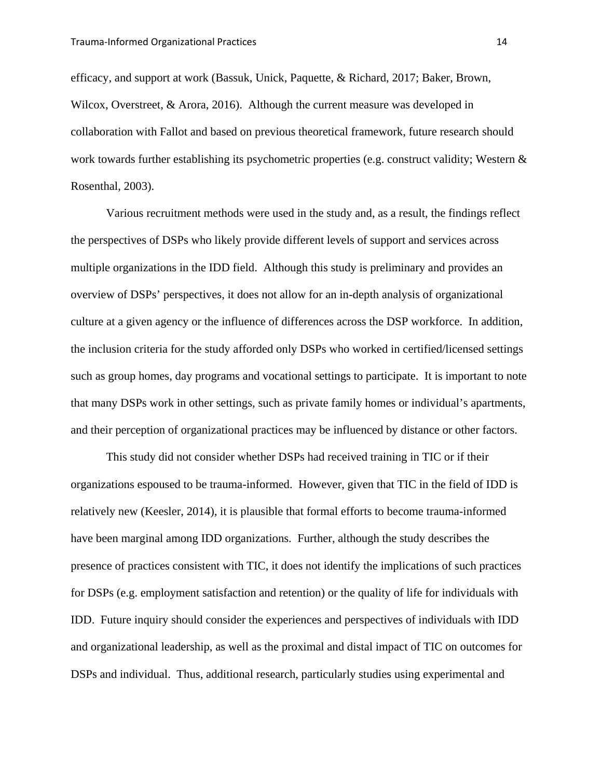efficacy, and support at work (Bassuk, Unick, Paquette, & Richard, 2017; Baker, Brown, Wilcox, Overstreet, & Arora, 2016). Although the current measure was developed in collaboration with Fallot and based on previous theoretical framework, future research should work towards further establishing its psychometric properties (e.g. construct validity; Western & Rosenthal, 2003).

Various recruitment methods were used in the study and, as a result, the findings reflect the perspectives of DSPs who likely provide different levels of support and services across multiple organizations in the IDD field. Although this study is preliminary and provides an overview of DSPs' perspectives, it does not allow for an in-depth analysis of organizational culture at a given agency or the influence of differences across the DSP workforce. In addition, the inclusion criteria for the study afforded only DSPs who worked in certified/licensed settings such as group homes, day programs and vocational settings to participate. It is important to note that many DSPs work in other settings, such as private family homes or individual's apartments, and their perception of organizational practices may be influenced by distance or other factors.

This study did not consider whether DSPs had received training in TIC or if their organizations espoused to be trauma-informed. However, given that TIC in the field of IDD is relatively new (Keesler, 2014), it is plausible that formal efforts to become trauma-informed have been marginal among IDD organizations. Further, although the study describes the presence of practices consistent with TIC, it does not identify the implications of such practices for DSPs (e.g. employment satisfaction and retention) or the quality of life for individuals with IDD. Future inquiry should consider the experiences and perspectives of individuals with IDD and organizational leadership, as well as the proximal and distal impact of TIC on outcomes for DSPs and individual. Thus, additional research, particularly studies using experimental and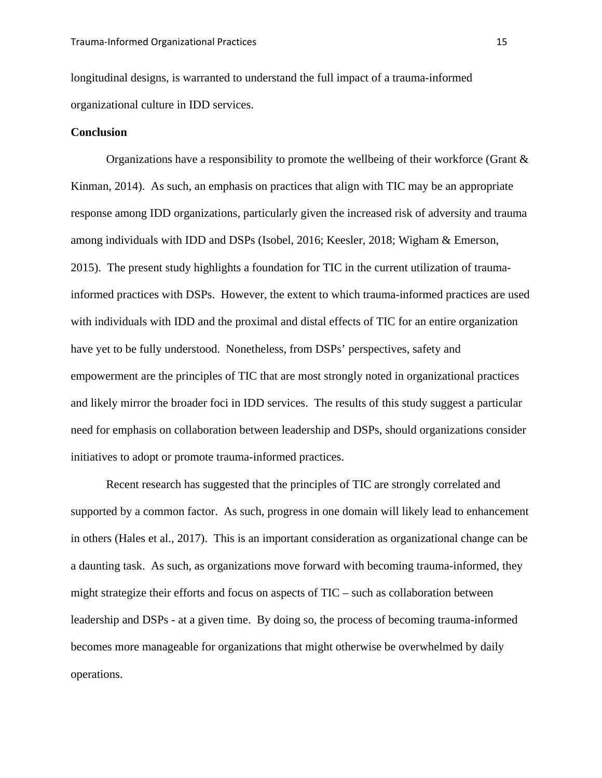longitudinal designs, is warranted to understand the full impact of a trauma-informed organizational culture in IDD services.

#### **Conclusion**

Organizations have a responsibility to promote the wellbeing of their workforce (Grant  $\&$ Kinman, 2014). As such, an emphasis on practices that align with TIC may be an appropriate response among IDD organizations, particularly given the increased risk of adversity and trauma among individuals with IDD and DSPs (Isobel, 2016; Keesler, 2018; Wigham & Emerson, 2015). The present study highlights a foundation for TIC in the current utilization of traumainformed practices with DSPs. However, the extent to which trauma-informed practices are used with individuals with IDD and the proximal and distal effects of TIC for an entire organization have yet to be fully understood. Nonetheless, from DSPs' perspectives, safety and empowerment are the principles of TIC that are most strongly noted in organizational practices and likely mirror the broader foci in IDD services. The results of this study suggest a particular need for emphasis on collaboration between leadership and DSPs, should organizations consider initiatives to adopt or promote trauma-informed practices.

Recent research has suggested that the principles of TIC are strongly correlated and supported by a common factor. As such, progress in one domain will likely lead to enhancement in others (Hales et al., 2017). This is an important consideration as organizational change can be a daunting task. As such, as organizations move forward with becoming trauma-informed, they might strategize their efforts and focus on aspects of TIC – such as collaboration between leadership and DSPs - at a given time. By doing so, the process of becoming trauma-informed becomes more manageable for organizations that might otherwise be overwhelmed by daily operations.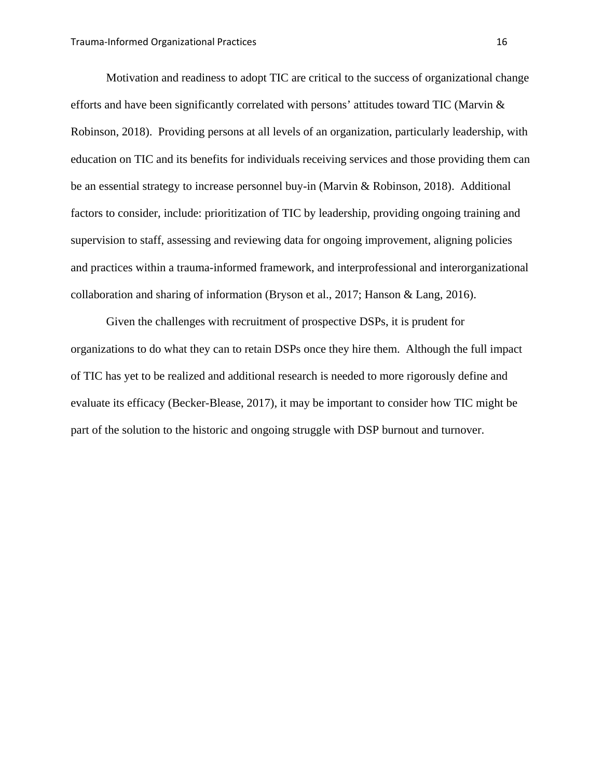Motivation and readiness to adopt TIC are critical to the success of organizational change efforts and have been significantly correlated with persons' attitudes toward TIC (Marvin & Robinson, 2018). Providing persons at all levels of an organization, particularly leadership, with education on TIC and its benefits for individuals receiving services and those providing them can be an essential strategy to increase personnel buy-in (Marvin & Robinson, 2018). Additional factors to consider, include: prioritization of TIC by leadership, providing ongoing training and supervision to staff, assessing and reviewing data for ongoing improvement, aligning policies and practices within a trauma-informed framework, and interprofessional and interorganizational collaboration and sharing of information (Bryson et al., 2017; Hanson & Lang, 2016).

Given the challenges with recruitment of prospective DSPs, it is prudent for organizations to do what they can to retain DSPs once they hire them. Although the full impact of TIC has yet to be realized and additional research is needed to more rigorously define and evaluate its efficacy (Becker-Blease, 2017), it may be important to consider how TIC might be part of the solution to the historic and ongoing struggle with DSP burnout and turnover.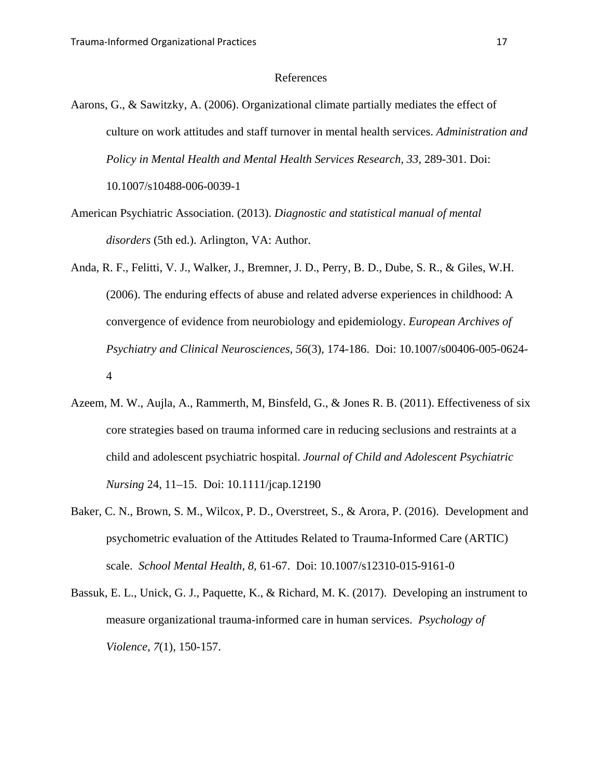#### References

- Aarons, G., & Sawitzky, A. (2006). Organizational climate partially mediates the effect of culture on work attitudes and staff turnover in mental health services. *Administration and*  Policy in Mental Health and Mental Health Services Research, 33, 289-301. Doi: 10.1007/s10488-006-0039-1
- American Psychiatric Association. (2013). *Diagnostic and statistical manual of mental disorders* (5th ed.). Arlington, VA: Author.
- Anda, R. F., Felitti, V. J., Walker, J., Bremner, J. D., Perry, B. D., Dube, S. R., & Giles, W.H. (2006). The enduring effects of abuse and related adverse experiences in childhood: A convergence of evidence from neurobiology and epidemiology. *European Archives of Psychiatry and Clinical Neurosciences, 56*(3), 174-186. Doi: 10.1007/s00406-005-0624- 4
- Azeem, M. W., Aujla, A., Rammerth, M, Binsfeld, G., & Jones R. B. (2011). Effectiveness of six core strategies based on trauma informed care in reducing seclusions and restraints at a child and adolescent psychiatric hospital. *Journal of Child and Adolescent Psychiatric Nursing* 24, 11–15. Doi: 10.1111/jcap.12190
- Baker, C. N., Brown, S. M., Wilcox, P. D., Overstreet, S., & Arora, P. (2016). Development and psychometric evaluation of the Attitudes Related to Trauma-Informed Care (ARTIC) scale. *School Mental Health, 8,* 61-67. Doi: 10.1007/s12310-015-9161-0
- Bassuk, E. L., Unick, G. J., Paquette, K., & Richard, M. K. (2017). Developing an instrument to measure organizational trauma-informed care in human services. *Psychology of Violence, 7*(1), 150-157.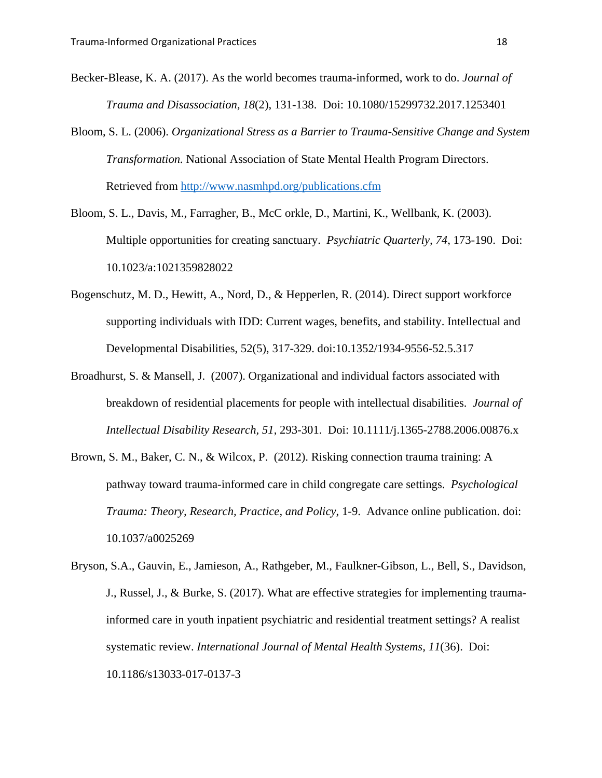- Becker-Blease, K. A. (2017). As the world becomes trauma-informed, work to do. *Journal of Trauma and Disassociation, 18*(2), 131-138. Doi: 10.1080/15299732.2017.1253401
- Bloom, S. L. (2006). *Organizational Stress as a Barrier to Trauma-Sensitive Change and System Transformation.* National Association of State Mental Health Program Directors. Retrieved from http://www.nasmhpd.org/publications.cfm
- Bloom, S. L., Davis, M., Farragher, B., McC orkle, D., Martini, K., Wellbank, K. (2003). Multiple opportunities for creating sanctuary. *Psychiatric Quarterly, 74*, 173-190. Doi: 10.1023/a:1021359828022
- Bogenschutz, M. D., Hewitt, A., Nord, D., & Hepperlen, R. (2014). Direct support workforce supporting individuals with IDD: Current wages, benefits, and stability. Intellectual and Developmental Disabilities, 52(5), 317-329. doi:10.1352/1934-9556-52.5.317
- Broadhurst, S. & Mansell, J. (2007). Organizational and individual factors associated with breakdown of residential placements for people with intellectual disabilities. *Journal of Intellectual Disability Research, 51*, 293-301. Doi: 10.1111/j.1365-2788.2006.00876.x
- Brown, S. M., Baker, C. N., & Wilcox, P. (2012). Risking connection trauma training: A pathway toward trauma-informed care in child congregate care settings. *Psychological Trauma: Theory, Research, Practice, and Policy*, 1-9. Advance online publication. doi: 10.1037/a0025269
- Bryson, S.A., Gauvin, E., Jamieson, A., Rathgeber, M., Faulkner-Gibson, L., Bell, S., Davidson, J., Russel, J., & Burke, S. (2017). What are effective strategies for implementing traumainformed care in youth inpatient psychiatric and residential treatment settings? A realist systematic review. *International Journal of Mental Health Systems, 11*(36). Doi: 10.1186/s13033-017-0137-3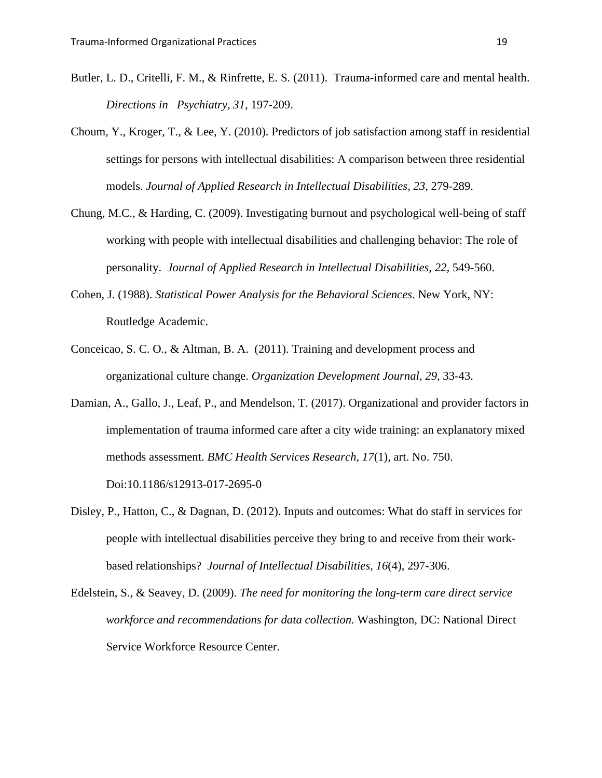- Butler, L. D., Critelli, F. M., & Rinfrette, E. S. (2011). Trauma-informed care and mental health. *Directions in Psychiatry, 31,* 197-209.
- Choum, Y., Kroger, T., & Lee, Y. (2010). Predictors of job satisfaction among staff in residential settings for persons with intellectual disabilities: A comparison between three residential models. *Journal of Applied Research in Intellectual Disabilities, 23,* 279-289.
- Chung, M.C., & Harding, C. (2009). Investigating burnout and psychological well-being of staff working with people with intellectual disabilities and challenging behavior: The role of personality. *Journal of Applied Research in Intellectual Disabilities, 22,* 549-560.
- Cohen, J. (1988). *Statistical Power Analysis for the Behavioral Sciences*. New York, NY: Routledge Academic.
- Conceicao, S. C. O., & Altman, B. A. (2011). Training and development process and organizational culture change. *Organization Development Journal, 29,* 33-43.
- Damian, A., Gallo, J., Leaf, P., and Mendelson, T. (2017). Organizational and provider factors in implementation of trauma informed care after a city wide training: an explanatory mixed methods assessment. *BMC Health Services Research, 17*(1), art. No. 750. Doi:10.1186/s12913-017-2695-0
- Disley, P., Hatton, C., & Dagnan, D. (2012). Inputs and outcomes: What do staff in services for people with intellectual disabilities perceive they bring to and receive from their workbased relationships? *Journal of Intellectual Disabilities, 16*(4), 297-306.
- Edelstein, S., & Seavey, D. (2009). *The need for monitoring the long-term care direct service workforce and recommendations for data collection.* Washington, DC: National Direct Service Workforce Resource Center.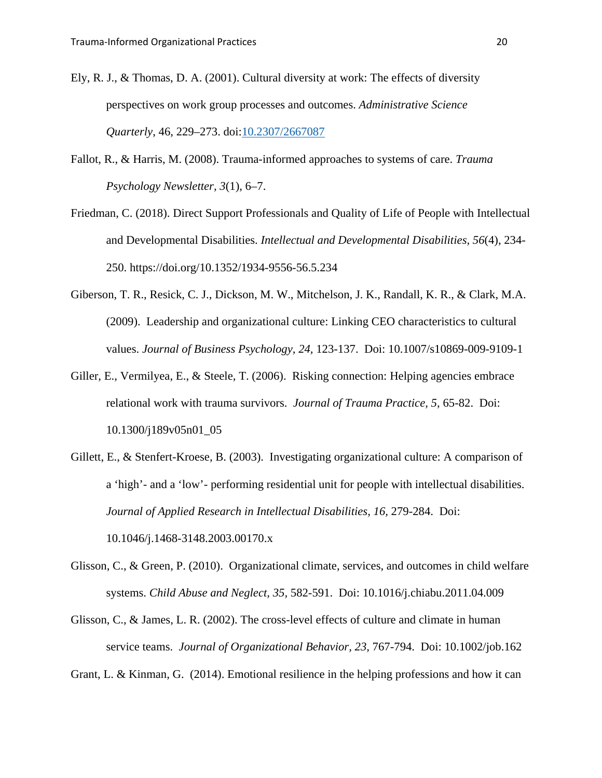- Ely, R. J., & Thomas, D. A. (2001). Cultural diversity at work: The effects of diversity perspectives on work group processes and outcomes. *Administrative Science Quarterly*, 46, 229–273. doi:10.2307/2667087
- Fallot, R., & Harris, M. (2008). Trauma-informed approaches to systems of care. *Trauma Psychology Newsletter, 3*(1), 6–7.
- Friedman, C. (2018). Direct Support Professionals and Quality of Life of People with Intellectual and Developmental Disabilities. *Intellectual and Developmental Disabilities, 56*(4), 234- 250. https://doi.org/10.1352/1934-9556-56.5.234
- Giberson, T. R., Resick, C. J., Dickson, M. W., Mitchelson, J. K., Randall, K. R., & Clark, M.A. (2009). Leadership and organizational culture: Linking CEO characteristics to cultural values. *Journal of Business Psychology, 24,* 123-137. Doi: 10.1007/s10869-009-9109-1
- Giller, E., Vermilyea, E., & Steele, T. (2006). Risking connection: Helping agencies embrace relational work with trauma survivors. *Journal of Trauma Practice, 5,* 65-82. Doi: 10.1300/j189v05n01\_05
- Gillett, E., & Stenfert-Kroese, B. (2003). Investigating organizational culture: A comparison of a 'high'- and a 'low'- performing residential unit for people with intellectual disabilities. *Journal of Applied Research in Intellectual Disabilities, 16, 279-284. Doi:* 10.1046/j.1468-3148.2003.00170.x
- Glisson, C., & Green, P. (2010). Organizational climate, services, and outcomes in child welfare systems. *Child Abuse and Neglect, 35,* 582-591. Doi: 10.1016/j.chiabu.2011.04.009
- Glisson, C., & James, L. R. (2002). The cross-level effects of culture and climate in human service teams. *Journal of Organizational Behavior, 23,* 767-794. Doi: 10.1002/job.162

Grant, L. & Kinman, G. (2014). Emotional resilience in the helping professions and how it can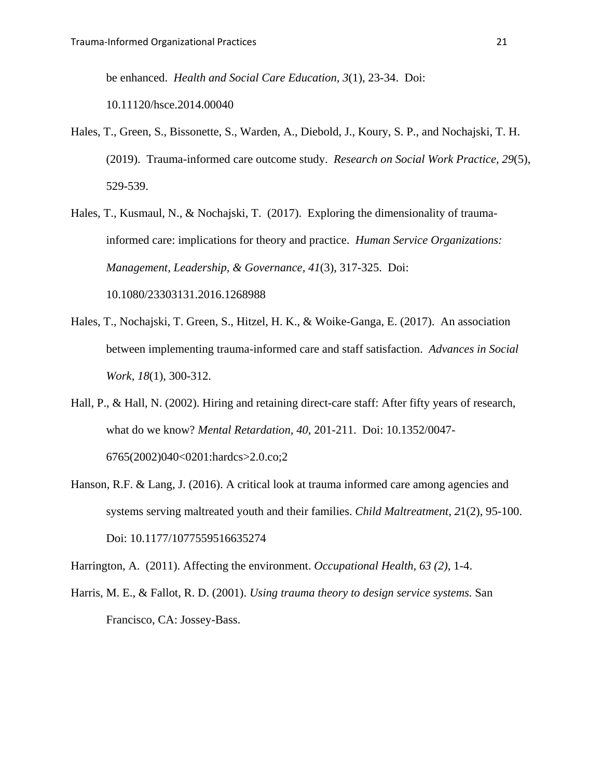be enhanced. *Health and Social Care Education, 3*(1), 23-34. Doi:

10.11120/hsce.2014.00040

- Hales, T., Green, S., Bissonette, S., Warden, A., Diebold, J., Koury, S. P., and Nochajski, T. H. (2019). Trauma-informed care outcome study. *Research on Social Work Practice, 29*(5), 529-539.
- Hales, T., Kusmaul, N., & Nochajski, T. (2017). Exploring the dimensionality of traumainformed care: implications for theory and practice. *Human Service Organizations: Management, Leadership, & Governance, 41*(3), 317-325. Doi: 10.1080/23303131.2016.1268988
- Hales, T., Nochajski, T. Green, S., Hitzel, H. K., & Woike-Ganga, E. (2017). An association between implementing trauma-informed care and staff satisfaction. *Advances in Social Work, 18*(1), 300-312.
- Hall, P., & Hall, N. (2002). Hiring and retaining direct-care staff: After fifty years of research, what do we know? *Mental Retardation, 40*, 201-211. Doi: 10.1352/0047- 6765(2002)040<0201:hardcs>2.0.co;2
- Hanson, R.F. & Lang, J. (2016). A critical look at trauma informed care among agencies and systems serving maltreated youth and their families. *Child Maltreatment, 2*1(2), 95-100. Doi: 10.1177/1077559516635274

Harrington, A. (2011). Affecting the environment. *Occupational Health, 63 (2),* 1-4.

Harris, M. E., & Fallot, R. D. (2001). *Using trauma theory to design service systems.* San Francisco, CA: Jossey-Bass.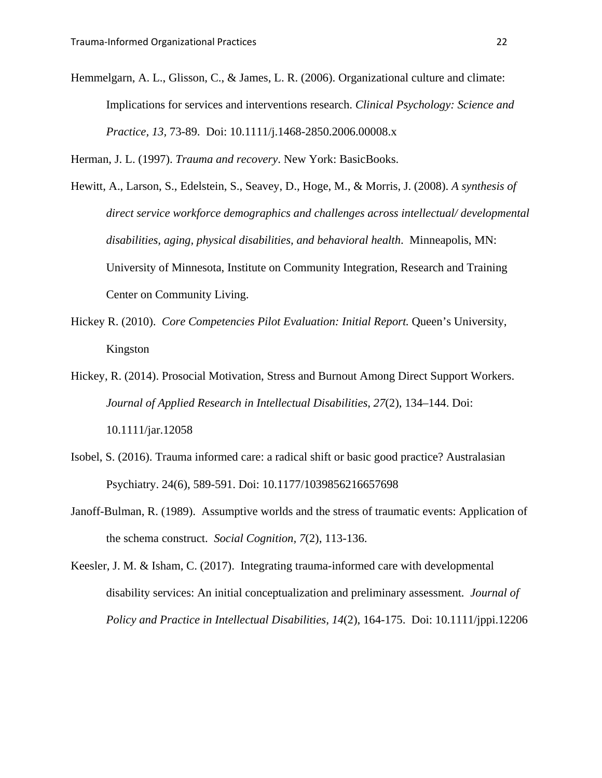Hemmelgarn, A. L., Glisson, C., & James, L. R. (2006). Organizational culture and climate: Implications for services and interventions research. *Clinical Psychology: Science and Practice, 13,* 73-89. Doi: 10.1111/j.1468-2850.2006.00008.x

Herman, J. L. (1997). *Trauma and recovery*. New York: BasicBooks.

- Hewitt, A., Larson, S., Edelstein, S., Seavey, D., Hoge, M., & Morris, J. (2008). *A synthesis of direct service workforce demographics and challenges across intellectual/ developmental disabilities, aging, physical disabilities, and behavioral health*. Minneapolis, MN: University of Minnesota, Institute on Community Integration, Research and Training Center on Community Living.
- Hickey R. (2010). *Core Competencies Pilot Evaluation: Initial Report.* Queen's University, Kingston
- Hickey, R. (2014). Prosocial Motivation, Stress and Burnout Among Direct Support Workers. *Journal of Applied Research in Intellectual Disabilities*, *27*(2), 134–144. Doi: 10.1111/jar.12058
- Isobel, S. (2016). Trauma informed care: a radical shift or basic good practice? Australasian Psychiatry. 24(6), 589-591. Doi: 10.1177/1039856216657698
- Janoff-Bulman, R. (1989). Assumptive worlds and the stress of traumatic events: Application of the schema construct. *Social Cognition, 7*(2), 113-136.
- Keesler, J. M. & Isham, C. (2017). Integrating trauma-informed care with developmental disability services: An initial conceptualization and preliminary assessment*. Journal of Policy and Practice in Intellectual Disabilities, 14*(2), 164-175. Doi: 10.1111/jppi.12206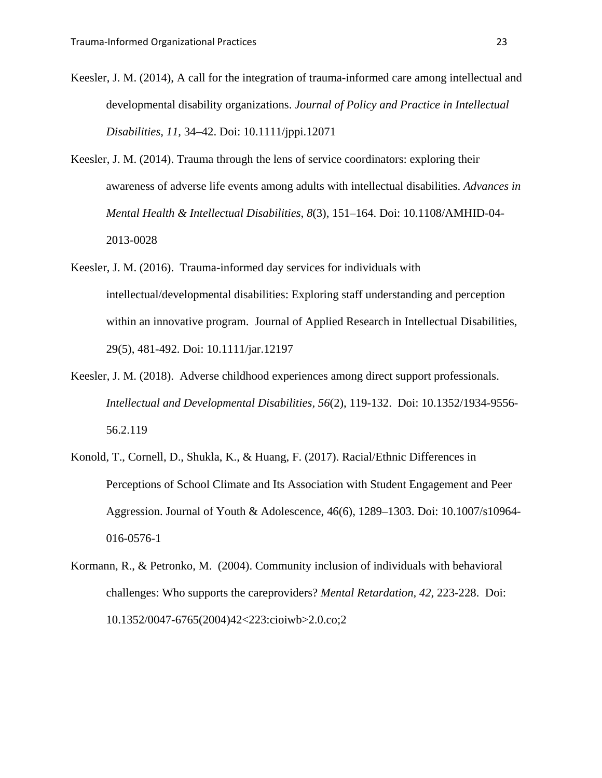- Keesler, J. M. (2014), A call for the integration of trauma-informed care among intellectual and developmental disability organizations. *Journal of Policy and Practice in Intellectual Disabilities, 11,* 34–42. Doi: 10.1111/jppi.12071
- Keesler, J. M. (2014). Trauma through the lens of service coordinators: exploring their awareness of adverse life events among adults with intellectual disabilities. *Advances in Mental Health & Intellectual Disabilities*, *8*(3), 151–164. Doi: 10.1108/AMHID-04- 2013-0028
- Keesler, J. M. (2016). Trauma-informed day services for individuals with intellectual/developmental disabilities: Exploring staff understanding and perception within an innovative program. Journal of Applied Research in Intellectual Disabilities, 29(5), 481-492. Doi: 10.1111/jar.12197
- Keesler, J. M. (2018). Adverse childhood experiences among direct support professionals. *Intellectual and Developmental Disabilities, 56*(2), 119-132. Doi: 10.1352/1934-9556- 56.2.119
- Konold, T., Cornell, D., Shukla, K., & Huang, F. (2017). Racial/Ethnic Differences in Perceptions of School Climate and Its Association with Student Engagement and Peer Aggression. Journal of Youth & Adolescence, 46(6), 1289–1303. Doi: 10.1007/s10964- 016-0576-1
- Kormann, R., & Petronko, M. (2004). Community inclusion of individuals with behavioral challenges: Who supports the careproviders? *Mental Retardation, 42*, 223-228. Doi: 10.1352/0047-6765(2004)42<223:cioiwb>2.0.co;2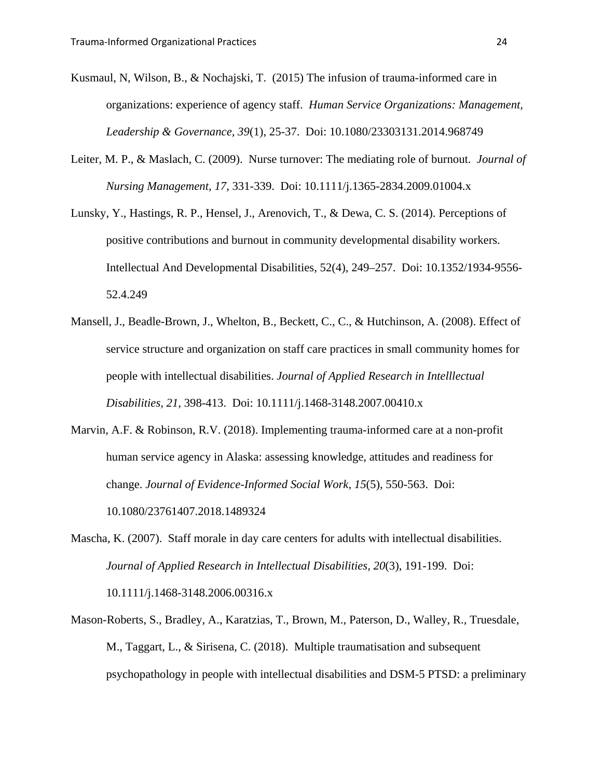- Kusmaul, N, Wilson, B., & Nochajski, T. (2015) The infusion of trauma-informed care in organizations: experience of agency staff. *Human Service Organizations: Management, Leadership & Governance, 39*(1), 25-37. Doi: 10.1080/23303131.2014.968749
- Leiter, M. P., & Maslach, C. (2009). Nurse turnover: The mediating role of burnout. *Journal of Nursing Management, 17*, 331-339. Doi: 10.1111/j.1365-2834.2009.01004.x
- Lunsky, Y., Hastings, R. P., Hensel, J., Arenovich, T., & Dewa, C. S. (2014). Perceptions of positive contributions and burnout in community developmental disability workers. Intellectual And Developmental Disabilities, 52(4), 249–257. Doi: 10.1352/1934-9556- 52.4.249
- Mansell, J., Beadle-Brown, J., Whelton, B., Beckett, C., C., & Hutchinson, A. (2008). Effect of service structure and organization on staff care practices in small community homes for people with intellectual disabilities. *Journal of Applied Research in Intelllectual Disabilities, 21,* 398-413. Doi: 10.1111/j.1468-3148.2007.00410.x
- Marvin, A.F. & Robinson, R.V. (2018). Implementing trauma-informed care at a non-profit human service agency in Alaska: assessing knowledge, attitudes and readiness for change. *Journal of Evidence-Informed Social Work, 15*(5), 550-563. Doi: 10.1080/23761407.2018.1489324
- Mascha, K. (2007). Staff morale in day care centers for adults with intellectual disabilities. *Journal of Applied Research in Intellectual Disabilities, 20*(3), 191-199. Doi: 10.1111/j.1468-3148.2006.00316.x
- Mason-Roberts, S., Bradley, A., Karatzias, T., Brown, M., Paterson, D., Walley, R., Truesdale, M., Taggart, L., & Sirisena, C. (2018). Multiple traumatisation and subsequent psychopathology in people with intellectual disabilities and DSM-5 PTSD: a preliminary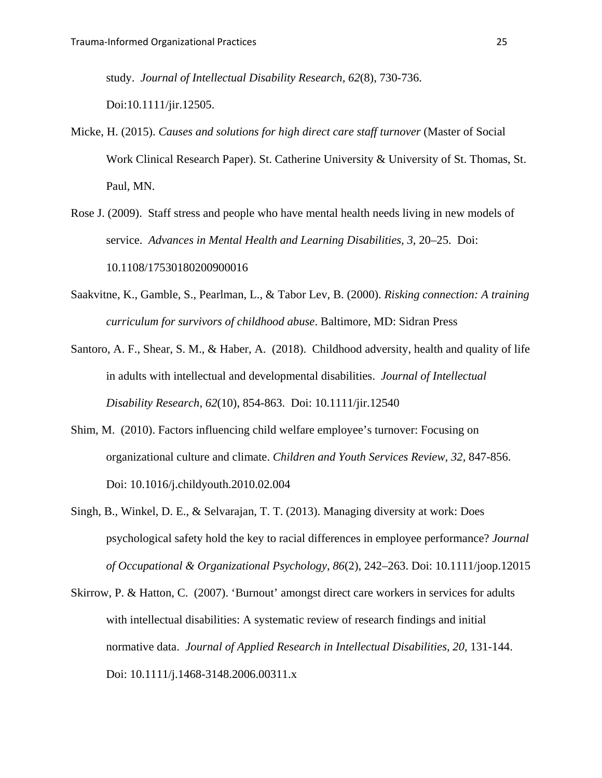study. *Journal of Intellectual Disability Research, 62*(8), 730-736. Doi:10.1111/jir.12505.

- Micke, H. (2015). *Causes and solutions for high direct care staff turnover* (Master of Social Work Clinical Research Paper). St. Catherine University & University of St. Thomas, St. Paul, MN.
- Rose J. (2009). Staff stress and people who have mental health needs living in new models of service. *Advances in Mental Health and Learning Disabilities, 3*, 20–25. Doi: 10.1108/17530180200900016
- Saakvitne, K., Gamble, S., Pearlman, L., & Tabor Lev, B. (2000). *Risking connection: A training curriculum for survivors of childhood abuse*. Baltimore, MD: Sidran Press
- Santoro, A. F., Shear, S. M., & Haber, A. (2018). Childhood adversity, health and quality of life in adults with intellectual and developmental disabilities. *Journal of Intellectual Disability Research, 62*(10), 854-863. Doi: 10.1111/jir.12540
- Shim, M. (2010). Factors influencing child welfare employee's turnover: Focusing on organizational culture and climate. *Children and Youth Services Review, 32,* 847-856. Doi: 10.1016/j.childyouth.2010.02.004
- Singh, B., Winkel, D. E., & Selvarajan, T. T. (2013). Managing diversity at work: Does psychological safety hold the key to racial differences in employee performance? *Journal of Occupational & Organizational Psychology*, *86*(2), 242–263. Doi: 10.1111/joop.12015
- Skirrow, P. & Hatton, C. (2007). 'Burnout' amongst direct care workers in services for adults with intellectual disabilities: A systematic review of research findings and initial normative data. *Journal of Applied Research in Intellectual Disabilities, 20,* 131-144. Doi: 10.1111/j.1468-3148.2006.00311.x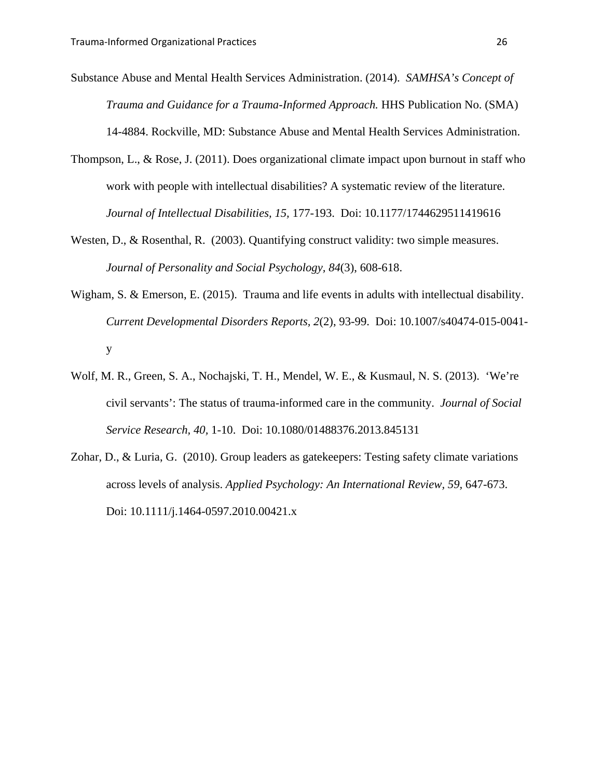Substance Abuse and Mental Health Services Administration. (2014). *SAMHSA's Concept of Trauma and Guidance for a Trauma-Informed Approach.* HHS Publication No. (SMA) 14-4884. Rockville, MD: Substance Abuse and Mental Health Services Administration.

- Thompson, L., & Rose, J. (2011). Does organizational climate impact upon burnout in staff who work with people with intellectual disabilities? A systematic review of the literature. *Journal of Intellectual Disabilities, 15,* 177-193. Doi: 10.1177/1744629511419616
- Westen, D., & Rosenthal, R. (2003). Quantifying construct validity: two simple measures. *Journal of Personality and Social Psychology, 84*(3), 608-618.
- Wigham, S. & Emerson, E. (2015). Trauma and life events in adults with intellectual disability. *Current Developmental Disorders Reports, 2*(2), 93-99. Doi: 10.1007/s40474-015-0041 y
- Wolf, M. R., Green, S. A., Nochajski, T. H., Mendel, W. E., & Kusmaul, N. S. (2013). 'We're civil servants': The status of trauma-informed care in the community. *Journal of Social Service Research, 40,* 1-10. Doi: 10.1080/01488376.2013.845131
- Zohar, D., & Luria, G. (2010). Group leaders as gatekeepers: Testing safety climate variations across levels of analysis. *Applied Psychology: An International Review, 59,* 647-673. Doi: 10.1111/j.1464-0597.2010.00421.x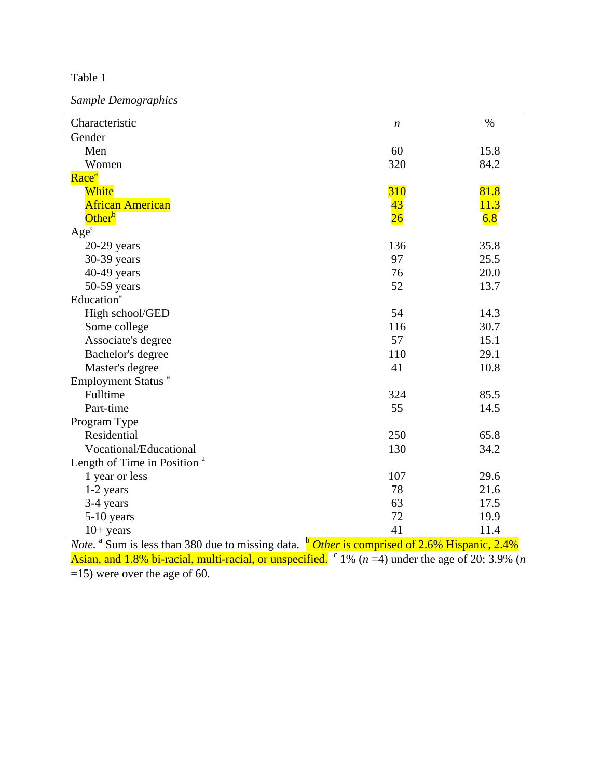*Sample Demographics*

| Gender<br>Men<br>60<br>15.8<br>Women<br>320<br>84.2<br>Race <sup>a</sup><br><b>310</b><br>81.8<br>White<br>43<br><b>African American</b><br>11.3<br>Other <sup>b</sup><br>$\overline{26}$<br>6.8<br>$Age^{\overline{c}}$<br>136<br>35.8<br>$20-29$ years<br>97<br>30-39 years<br>25.5<br>40-49 years<br>76<br>20.0<br>50-59 years<br>52<br>13.7<br>Education <sup>a</sup><br>High school/GED<br>54<br>14.3<br>116<br>30.7<br>Some college<br>57<br>Associate's degree<br>15.1<br>110<br>29.1<br>Bachelor's degree<br>41<br>Master's degree<br>10.8<br>Employment Status <sup>a</sup><br>Fulltime<br>324<br>85.5<br>Part-time<br>55<br>14.5<br>Program Type<br>Residential<br>250<br>65.8<br>Vocational/Educational<br>130<br>34.2<br>Length of Time in Position <sup>a</sup><br>1 year or less<br>107<br>29.6<br>78<br>21.6<br>$1-2$ years<br>63<br>3-4 years<br>17.5<br>72<br>19.9<br>5-10 years | Characteristic | $\boldsymbol{n}$ | $\%$ |
|---------------------------------------------------------------------------------------------------------------------------------------------------------------------------------------------------------------------------------------------------------------------------------------------------------------------------------------------------------------------------------------------------------------------------------------------------------------------------------------------------------------------------------------------------------------------------------------------------------------------------------------------------------------------------------------------------------------------------------------------------------------------------------------------------------------------------------------------------------------------------------------------------|----------------|------------------|------|
|                                                                                                                                                                                                                                                                                                                                                                                                                                                                                                                                                                                                                                                                                                                                                                                                                                                                                                   |                |                  |      |
|                                                                                                                                                                                                                                                                                                                                                                                                                                                                                                                                                                                                                                                                                                                                                                                                                                                                                                   |                |                  |      |
|                                                                                                                                                                                                                                                                                                                                                                                                                                                                                                                                                                                                                                                                                                                                                                                                                                                                                                   |                |                  |      |
|                                                                                                                                                                                                                                                                                                                                                                                                                                                                                                                                                                                                                                                                                                                                                                                                                                                                                                   |                |                  |      |
|                                                                                                                                                                                                                                                                                                                                                                                                                                                                                                                                                                                                                                                                                                                                                                                                                                                                                                   |                |                  |      |
|                                                                                                                                                                                                                                                                                                                                                                                                                                                                                                                                                                                                                                                                                                                                                                                                                                                                                                   |                |                  |      |
|                                                                                                                                                                                                                                                                                                                                                                                                                                                                                                                                                                                                                                                                                                                                                                                                                                                                                                   |                |                  |      |
|                                                                                                                                                                                                                                                                                                                                                                                                                                                                                                                                                                                                                                                                                                                                                                                                                                                                                                   |                |                  |      |
|                                                                                                                                                                                                                                                                                                                                                                                                                                                                                                                                                                                                                                                                                                                                                                                                                                                                                                   |                |                  |      |
|                                                                                                                                                                                                                                                                                                                                                                                                                                                                                                                                                                                                                                                                                                                                                                                                                                                                                                   |                |                  |      |
|                                                                                                                                                                                                                                                                                                                                                                                                                                                                                                                                                                                                                                                                                                                                                                                                                                                                                                   |                |                  |      |
|                                                                                                                                                                                                                                                                                                                                                                                                                                                                                                                                                                                                                                                                                                                                                                                                                                                                                                   |                |                  |      |
|                                                                                                                                                                                                                                                                                                                                                                                                                                                                                                                                                                                                                                                                                                                                                                                                                                                                                                   |                |                  |      |
|                                                                                                                                                                                                                                                                                                                                                                                                                                                                                                                                                                                                                                                                                                                                                                                                                                                                                                   |                |                  |      |
|                                                                                                                                                                                                                                                                                                                                                                                                                                                                                                                                                                                                                                                                                                                                                                                                                                                                                                   |                |                  |      |
|                                                                                                                                                                                                                                                                                                                                                                                                                                                                                                                                                                                                                                                                                                                                                                                                                                                                                                   |                |                  |      |
|                                                                                                                                                                                                                                                                                                                                                                                                                                                                                                                                                                                                                                                                                                                                                                                                                                                                                                   |                |                  |      |
|                                                                                                                                                                                                                                                                                                                                                                                                                                                                                                                                                                                                                                                                                                                                                                                                                                                                                                   |                |                  |      |
|                                                                                                                                                                                                                                                                                                                                                                                                                                                                                                                                                                                                                                                                                                                                                                                                                                                                                                   |                |                  |      |
|                                                                                                                                                                                                                                                                                                                                                                                                                                                                                                                                                                                                                                                                                                                                                                                                                                                                                                   |                |                  |      |
|                                                                                                                                                                                                                                                                                                                                                                                                                                                                                                                                                                                                                                                                                                                                                                                                                                                                                                   |                |                  |      |
|                                                                                                                                                                                                                                                                                                                                                                                                                                                                                                                                                                                                                                                                                                                                                                                                                                                                                                   |                |                  |      |
|                                                                                                                                                                                                                                                                                                                                                                                                                                                                                                                                                                                                                                                                                                                                                                                                                                                                                                   |                |                  |      |
|                                                                                                                                                                                                                                                                                                                                                                                                                                                                                                                                                                                                                                                                                                                                                                                                                                                                                                   |                |                  |      |
|                                                                                                                                                                                                                                                                                                                                                                                                                                                                                                                                                                                                                                                                                                                                                                                                                                                                                                   |                |                  |      |
|                                                                                                                                                                                                                                                                                                                                                                                                                                                                                                                                                                                                                                                                                                                                                                                                                                                                                                   |                |                  |      |
|                                                                                                                                                                                                                                                                                                                                                                                                                                                                                                                                                                                                                                                                                                                                                                                                                                                                                                   |                |                  |      |
|                                                                                                                                                                                                                                                                                                                                                                                                                                                                                                                                                                                                                                                                                                                                                                                                                                                                                                   |                |                  |      |
|                                                                                                                                                                                                                                                                                                                                                                                                                                                                                                                                                                                                                                                                                                                                                                                                                                                                                                   |                |                  |      |
|                                                                                                                                                                                                                                                                                                                                                                                                                                                                                                                                                                                                                                                                                                                                                                                                                                                                                                   | $10+$ years    | 41               | 11.4 |

*Note.* <sup>a</sup> Sum is less than 380 due to missing data. **b** *Other* is comprised of 2.6% Hispanic, 2.4% Asian, and 1.8% bi-racial, multi-racial, or unspecified.  $\degree$  1% ( $n = 4$ ) under the age of 20; 3.9% (*n* =15) were over the age of 60.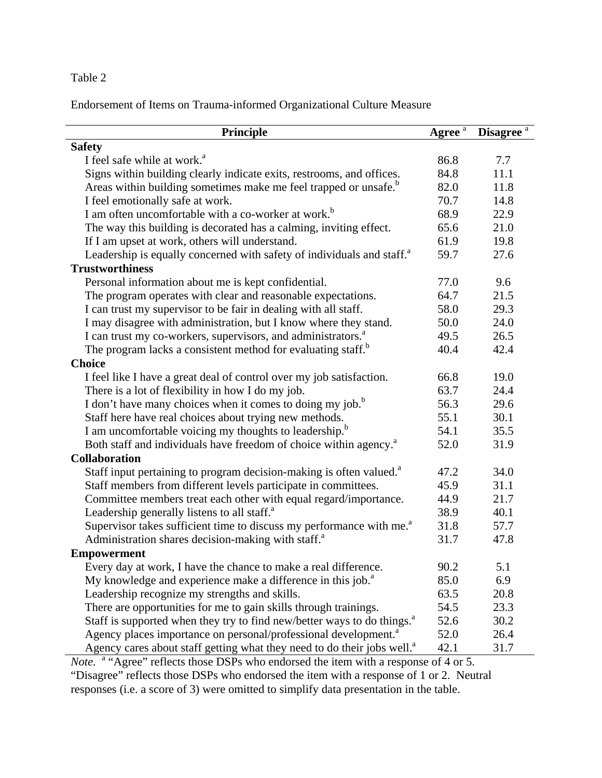Endorsement of Items on Trauma-informed Organizational Culture Measure

| Principle                                                                           | $\overline{\text{Agree}^{\,a}}$ | Disagree <sup>a</sup> |
|-------------------------------------------------------------------------------------|---------------------------------|-----------------------|
| <b>Safety</b>                                                                       |                                 |                       |
| I feel safe while at work. <sup>a</sup>                                             | 86.8                            | 7.7                   |
| Signs within building clearly indicate exits, restrooms, and offices.               | 84.8                            | 11.1                  |
| Areas within building sometimes make me feel trapped or unsafe. <sup>b</sup>        | 82.0                            | 11.8                  |
| I feel emotionally safe at work.                                                    | 70.7                            | 14.8                  |
| I am often uncomfortable with a co-worker at work. <sup>b</sup>                     | 68.9                            | 22.9                  |
| The way this building is decorated has a calming, inviting effect.                  | 65.6                            | 21.0                  |
| If I am upset at work, others will understand.                                      | 61.9                            | 19.8                  |
| Leadership is equally concerned with safety of individuals and staff. <sup>a</sup>  | 59.7                            | 27.6                  |
| <b>Trustworthiness</b>                                                              |                                 |                       |
| Personal information about me is kept confidential.                                 | 77.0                            | 9.6                   |
| The program operates with clear and reasonable expectations.                        | 64.7                            | 21.5                  |
| I can trust my supervisor to be fair in dealing with all staff.                     | 58.0                            | 29.3                  |
| I may disagree with administration, but I know where they stand.                    | 50.0                            | 24.0                  |
| I can trust my co-workers, supervisors, and administrators. <sup>a</sup>            | 49.5                            | 26.5                  |
| The program lacks a consistent method for evaluating staff. <sup>b</sup>            | 40.4                            | 42.4                  |
| <b>Choice</b>                                                                       |                                 |                       |
| I feel like I have a great deal of control over my job satisfaction.                | 66.8                            | 19.0                  |
| There is a lot of flexibility in how I do my job.                                   | 63.7                            | 24.4                  |
| I don't have many choices when it comes to doing my job. <sup>b</sup>               | 56.3                            | 29.6                  |
| Staff here have real choices about trying new methods.                              | 55.1                            | 30.1                  |
| I am uncomfortable voicing my thoughts to leadership. <sup>b</sup>                  | 54.1                            | 35.5                  |
| Both staff and individuals have freedom of choice within agency. <sup>a</sup>       | 52.0                            | 31.9                  |
| <b>Collaboration</b>                                                                |                                 |                       |
| Staff input pertaining to program decision-making is often valued. <sup>a</sup>     | 47.2                            | 34.0                  |
| Staff members from different levels participate in committees.                      | 45.9                            | 31.1                  |
| Committee members treat each other with equal regard/importance.                    | 44.9                            | 21.7                  |
| Leadership generally listens to all staff. <sup>a</sup>                             | 38.9                            | 40.1                  |
| Supervisor takes sufficient time to discuss my performance with me. <sup>a</sup>    | 31.8                            | 57.7                  |
| Administration shares decision-making with staff. <sup>a</sup>                      | 31.7                            | 47.8                  |
| <b>Empowerment</b>                                                                  |                                 |                       |
| Every day at work, I have the chance to make a real difference.                     | 90.2                            | 5.1                   |
| My knowledge and experience make a difference in this job. <sup>8</sup>             | 85.0                            | 6.9                   |
| Leadership recognize my strengths and skills.                                       | 63.5                            | 20.8                  |
| There are opportunities for me to gain skills through trainings.                    | 54.5                            | 23.3                  |
| Staff is supported when they try to find new/better ways to do things. <sup>a</sup> | 52.6                            | 30.2                  |
| Agency places importance on personal/professional development. <sup>a</sup>         | 52.0                            | 26.4                  |
| Agency cares about staff getting what they need to do their jobs well. <sup>a</sup> | 42.1                            | 31.7                  |

*Note.* <sup>a</sup> "Agree" reflects those DSPs who endorsed the item with a response of 4 or 5.

"Disagree" reflects those DSPs who endorsed the item with a response of 1 or 2. Neutral responses (i.e. a score of 3) were omitted to simplify data presentation in the table.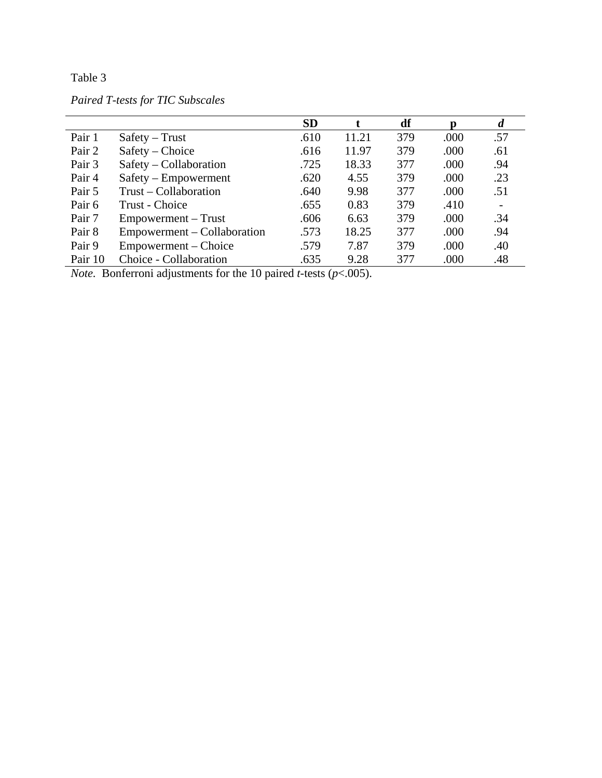*Paired T-tests for TIC Subscales* 

|         |                             | <b>SD</b> |       | df  | D    | $\boldsymbol{d}$ |
|---------|-----------------------------|-----------|-------|-----|------|------------------|
| Pair 1  | $Safety - Trust$            | .610      | 11.21 | 379 | .000 | .57              |
| Pair 2  | Safety – Choice             | .616      | 11.97 | 379 | .000 | .61              |
| Pair 3  | Safety – Collaboration      | .725      | 18.33 | 377 | .000 | .94              |
| Pair 4  | Safety – Empowerment        | .620      | 4.55  | 379 | .000 | .23              |
| Pair 5  | Trust – Collaboration       | .640      | 9.98  | 377 | .000 | .51              |
| Pair 6  | Trust - Choice              | .655      | 0.83  | 379 | .410 |                  |
| Pair 7  | Empowerment – Trust         | .606      | 6.63  | 379 | .000 | .34              |
| Pair 8  | Empowerment – Collaboration | .573      | 18.25 | 377 | .000 | .94              |
| Pair 9  | Empowerment – Choice        | .579      | 7.87  | 379 | .000 | .40              |
| Pair 10 | Choice - Collaboration      | .635      | 9.28  | 377 | .000 | .48              |

*Note.* Bonferroni adjustments for the 10 paired *t-*tests (*p*<.005).